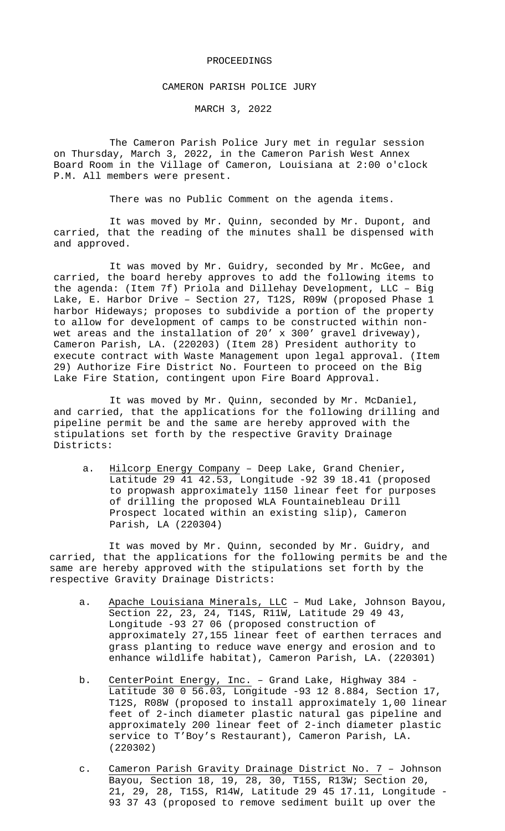### PROCEEDINGS

### CAMERON PARISH POLICE JURY

MARCH 3, 2022

The Cameron Parish Police Jury met in regular session on Thursday, March 3, 2022, in the Cameron Parish West Annex Board Room in the Village of Cameron, Louisiana at 2:00 o'clock P.M. All members were present.

There was no Public Comment on the agenda items.

It was moved by Mr. Quinn, seconded by Mr. Dupont, and carried, that the reading of the minutes shall be dispensed with and approved.

It was moved by Mr. Guidry, seconded by Mr. McGee, and carried, the board hereby approves to add the following items to the agenda: (Item 7f) Priola and Dillehay Development, LLC – Big Lake, E. Harbor Drive – Section 27, T12S, R09W (proposed Phase 1 harbor Hideways; proposes to subdivide a portion of the property to allow for development of camps to be constructed within nonwet areas and the installation of 20' x 300' gravel driveway), Cameron Parish, LA. (220203) (Item 28) President authority to execute contract with Waste Management upon legal approval. (Item 29) Authorize Fire District No. Fourteen to proceed on the Big Lake Fire Station, contingent upon Fire Board Approval.

It was moved by Mr. Quinn, seconded by Mr. McDaniel, and carried, that the applications for the following drilling and pipeline permit be and the same are hereby approved with the stipulations set forth by the respective Gravity Drainage Districts:

a. Hilcorp Energy Company - Deep Lake, Grand Chenier, Latitude 29 41 42.53, Longitude -92 39 18.41 (proposed to propwash approximately 1150 linear feet for purposes of drilling the proposed WLA Fountainebleau Drill Prospect located within an existing slip), Cameron Parish, LA (220304)

It was moved by Mr. Quinn, seconded by Mr. Guidry, and carried, that the applications for the following permits be and the same are hereby approved with the stipulations set forth by the respective Gravity Drainage Districts:

- a. Apache Louisiana Minerals, LLC Mud Lake, Johnson Bayou, Section 22, 23, 24, T14S, R11W, Latitude 29 49 43, Longitude -93 27 06 (proposed construction of approximately 27,155 linear feet of earthen terraces and grass planting to reduce wave energy and erosion and to enhance wildlife habitat), Cameron Parish, LA. (220301)
- b. <u>CenterPoint Energy, Inc.</u> Grand Lake, Highway 384 Latitude 30 0 56.03, Longitude -93 12 8.884, Section 17, T12S, R08W (proposed to install approximately 1,00 linear feet of 2-inch diameter plastic natural gas pipeline and approximately 200 linear feet of 2-inch diameter plastic service to T'Boy's Restaurant), Cameron Parish, LA. (220302)
- c. Cameron Parish Gravity Drainage District No. 7 Johnson Bayou, Section 18, 19, 28, 30, T15S, R13W; Section 20, 21, 29, 28, T15S, R14W, Latitude 29 45 17.11, Longitude - 93 37 43 (proposed to remove sediment built up over the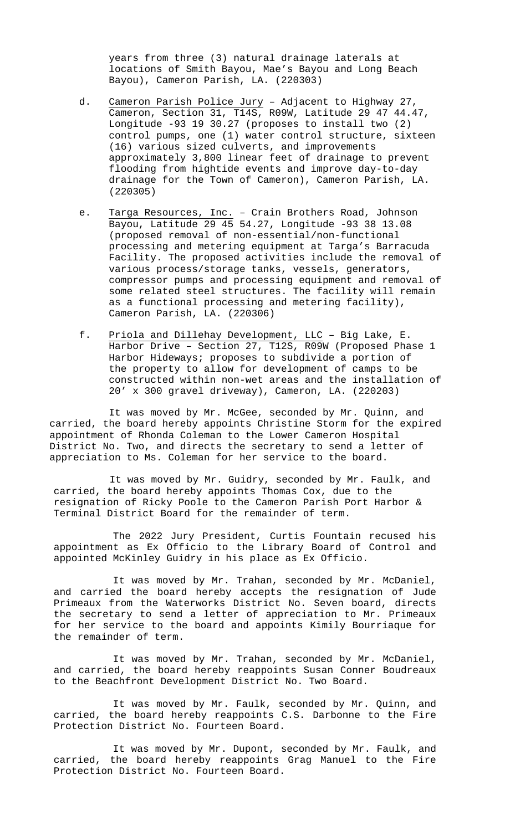years from three (3) natural drainage laterals at locations of Smith Bayou, Mae's Bayou and Long Beach Bayou), Cameron Parish, LA. (220303)

- d. Cameron Parish Police Jury Adjacent to Highway 27, Cameron, Section 31, T14S, R09W, Latitude 29 47 44.47, Longitude -93 19 30.27 (proposes to install two (2) control pumps, one (1) water control structure, sixteen (16) various sized culverts, and improvements approximately 3,800 linear feet of drainage to prevent flooding from hightide events and improve day-to-day drainage for the Town of Cameron), Cameron Parish, LA. (220305)
- e. Targa Resources, Inc. Crain Brothers Road, Johnson Bayou, Latitude 29 45 54.27, Longitude -93 38 13.08 (proposed removal of non-essential/non-functional processing and metering equipment at Targa's Barracuda Facility. The proposed activities include the removal of various process/storage tanks, vessels, generators, compressor pumps and processing equipment and removal of some related steel structures. The facility will remain as a functional processing and metering facility), Cameron Parish, LA. (220306)
- f. Priola and Dillehay Development, LLC Big Lake, E. Harbor Drive – Section 27, T12S, R09W (Proposed Phase 1 Harbor Hideways; proposes to subdivide a portion of the property to allow for development of camps to be constructed within non-wet areas and the installation of 20' x 300 gravel driveway), Cameron, LA. (220203)

It was moved by Mr. McGee, seconded by Mr. Quinn, and carried, the board hereby appoints Christine Storm for the expired appointment of Rhonda Coleman to the Lower Cameron Hospital District No. Two, and directs the secretary to send a letter of appreciation to Ms. Coleman for her service to the board.

It was moved by Mr. Guidry, seconded by Mr. Faulk, and carried, the board hereby appoints Thomas Cox, due to the resignation of Ricky Poole to the Cameron Parish Port Harbor & Terminal District Board for the remainder of term.

The 2022 Jury President, Curtis Fountain recused his appointment as Ex Officio to the Library Board of Control and appointed McKinley Guidry in his place as Ex Officio.

It was moved by Mr. Trahan, seconded by Mr. McDaniel, and carried the board hereby accepts the resignation of Jude Primeaux from the Waterworks District No. Seven board, directs the secretary to send a letter of appreciation to Mr. Primeaux for her service to the board and appoints Kimily Bourriaque for the remainder of term.

It was moved by Mr. Trahan, seconded by Mr. McDaniel, and carried, the board hereby reappoints Susan Conner Boudreaux to the Beachfront Development District No. Two Board.

It was moved by Mr. Faulk, seconded by Mr. Quinn, and carried, the board hereby reappoints C.S. Darbonne to the Fire Protection District No. Fourteen Board.

It was moved by Mr. Dupont, seconded by Mr. Faulk, and carried, the board hereby reappoints Grag Manuel to the Fire Protection District No. Fourteen Board.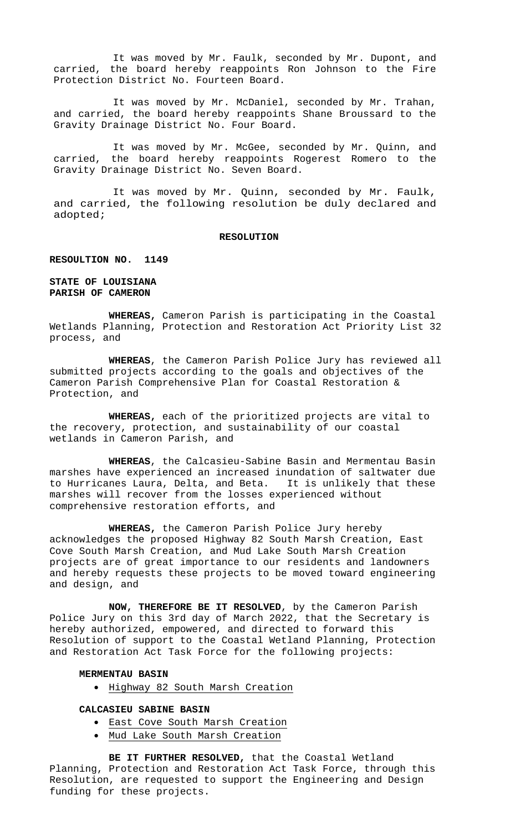It was moved by Mr. Faulk, seconded by Mr. Dupont, and carried, the board hereby reappoints Ron Johnson to the Fire Protection District No. Fourteen Board.

It was moved by Mr. McDaniel, seconded by Mr. Trahan, and carried, the board hereby reappoints Shane Broussard to the Gravity Drainage District No. Four Board.

It was moved by Mr. McGee, seconded by Mr. Quinn, and carried, the board hereby reappoints Rogerest Romero to the Gravity Drainage District No. Seven Board.

It was moved by Mr. Quinn, seconded by Mr. Faulk, and carried, the following resolution be duly declared and adopted;

#### **RESOLUTION**

#### **RESOULTION NO. 1149**

**STATE OF LOUISIANA PARISH OF CAMERON**

**WHEREAS,** Cameron Parish is participating in the Coastal Wetlands Planning, Protection and Restoration Act Priority List 32 process, and

**WHEREAS**, the Cameron Parish Police Jury has reviewed all submitted projects according to the goals and objectives of the Cameron Parish Comprehensive Plan for Coastal Restoration & Protection, and

**WHEREAS,** each of the prioritized projects are vital to the recovery, protection, and sustainability of our coastal wetlands in Cameron Parish, and

**WHEREAS**, the Calcasieu-Sabine Basin and Mermentau Basin marshes have experienced an increased inundation of saltwater due to Hurricanes Laura, Delta, and Beta. It is unlikely that these marshes will recover from the losses experienced without comprehensive restoration efforts, and

**WHEREAS,** the Cameron Parish Police Jury hereby acknowledges the proposed Highway 82 South Marsh Creation, East Cove South Marsh Creation, and Mud Lake South Marsh Creation projects are of great importance to our residents and landowners and hereby requests these projects to be moved toward engineering and design, and

**NOW, THEREFORE BE IT RESOLVED**, by the Cameron Parish Police Jury on this 3rd day of March 2022, that the Secretary is hereby authorized, empowered, and directed to forward this Resolution of support to the Coastal Wetland Planning, Protection and Restoration Act Task Force for the following projects:

# **MERMENTAU BASIN**

• Highway 82 South Marsh Creation

# **CALCASIEU SABINE BASIN**

- East Cove South Marsh Creation
- Mud Lake South Marsh Creation

**BE IT FURTHER RESOLVED,** that the Coastal Wetland Planning, Protection and Restoration Act Task Force, through this Resolution, are requested to support the Engineering and Design funding for these projects.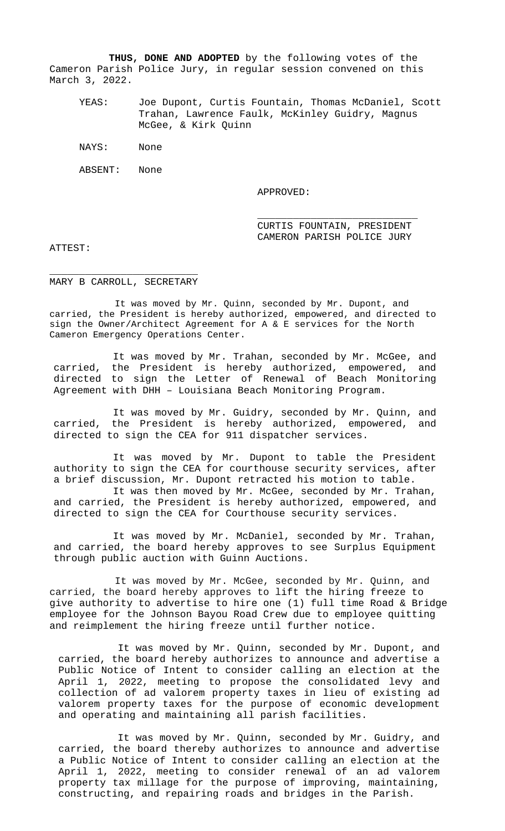**THUS, DONE AND ADOPTED** by the following votes of the Cameron Parish Police Jury, in regular session convened on this March 3, 2022.

YEAS: Joe Dupont, Curtis Fountain, Thomas McDaniel, Scott Trahan, Lawrence Faulk, McKinley Guidry, Magnus McGee, & Kirk Quinn

NAYS: None

ABSENT: None

APPROVED:

\_\_\_\_\_\_\_\_\_\_\_\_\_\_\_\_\_\_\_\_\_\_\_\_\_\_\_ CURTIS FOUNTAIN, PRESIDENT CAMERON PARISH POLICE JURY

ATTEST:

\_\_\_\_\_\_\_\_\_\_\_\_\_\_\_\_\_\_\_\_\_\_\_\_\_ MARY B CARROLL, SECRETARY

It was moved by Mr. Quinn, seconded by Mr. Dupont, and carried, the President is hereby authorized, empowered, and directed to sign the Owner/Architect Agreement for A & E services for the North Cameron Emergency Operations Center.

It was moved by Mr. Trahan, seconded by Mr. McGee, and carried, the President is hereby authorized, empowered, and directed to sign the Letter of Renewal of Beach Monitoring Agreement with DHH – Louisiana Beach Monitoring Program.

It was moved by Mr. Guidry, seconded by Mr. Quinn, and carried, the President is hereby authorized, empowered, and directed to sign the CEA for 911 dispatcher services.

It was moved by Mr. Dupont to table the President authority to sign the CEA for courthouse security services, after a brief discussion, Mr. Dupont retracted his motion to table.

It was then moved by Mr. McGee, seconded by Mr. Trahan, and carried, the President is hereby authorized, empowered, and directed to sign the CEA for Courthouse security services.

It was moved by Mr. McDaniel, seconded by Mr. Trahan, and carried, the board hereby approves to see Surplus Equipment through public auction with Guinn Auctions.

It was moved by Mr. McGee, seconded by Mr. Quinn, and carried, the board hereby approves to lift the hiring freeze to give authority to advertise to hire one (1) full time Road & Bridge employee for the Johnson Bayou Road Crew due to employee quitting and reimplement the hiring freeze until further notice.

It was moved by Mr. Quinn, seconded by Mr. Dupont, and carried, the board hereby authorizes to announce and advertise a Public Notice of Intent to consider calling an election at the April 1, 2022, meeting to propose the consolidated levy and collection of ad valorem property taxes in lieu of existing ad valorem property taxes for the purpose of economic development and operating and maintaining all parish facilities.

It was moved by Mr. Quinn, seconded by Mr. Guidry, and carried, the board thereby authorizes to announce and advertise a Public Notice of Intent to consider calling an election at the April 1, 2022, meeting to consider renewal of an ad valorem property tax millage for the purpose of improving, maintaining, constructing, and repairing roads and bridges in the Parish.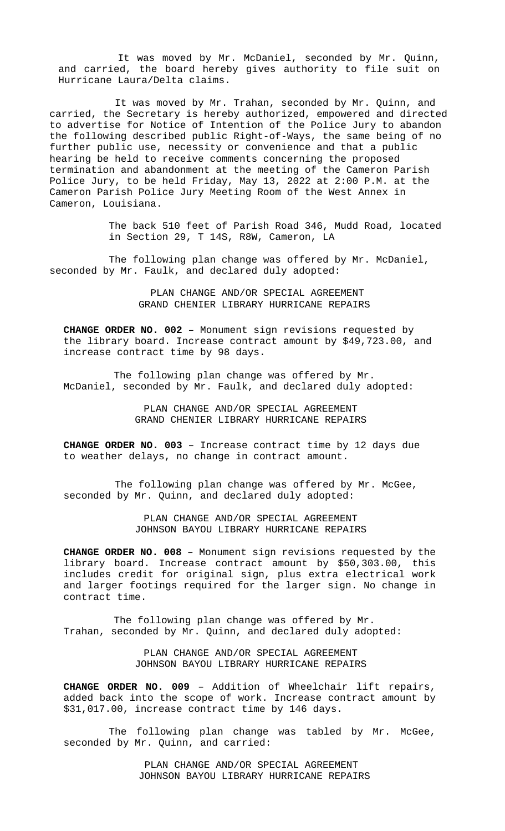It was moved by Mr. McDaniel, seconded by Mr. Quinn, and carried, the board hereby gives authority to file suit on Hurricane Laura/Delta claims.

It was moved by Mr. Trahan, seconded by Mr. Quinn, and carried, the Secretary is hereby authorized, empowered and directed to advertise for Notice of Intention of the Police Jury to abandon the following described public Right-of-Ways, the same being of no further public use, necessity or convenience and that a public hearing be held to receive comments concerning the proposed termination and abandonment at the meeting of the Cameron Parish Police Jury, to be held Friday, May 13, 2022 at 2:00 P.M. at the Cameron Parish Police Jury Meeting Room of the West Annex in Cameron, Louisiana.

> The back 510 feet of Parish Road 346, Mudd Road, located in Section 29, T 14S, R8W, Cameron, LA

The following plan change was offered by Mr. McDaniel, seconded by Mr. Faulk, and declared duly adopted:

> PLAN CHANGE AND/OR SPECIAL AGREEMENT GRAND CHENIER LIBRARY HURRICANE REPAIRS

**CHANGE ORDER NO. 002** – Monument sign revisions requested by the library board. Increase contract amount by \$49,723.00, and increase contract time by 98 days.

The following plan change was offered by Mr. McDaniel, seconded by Mr. Faulk, and declared duly adopted:

> PLAN CHANGE AND/OR SPECIAL AGREEMENT GRAND CHENIER LIBRARY HURRICANE REPAIRS

**CHANGE ORDER NO. 003** – Increase contract time by 12 days due to weather delays, no change in contract amount.

The following plan change was offered by Mr. McGee, seconded by Mr. Quinn, and declared duly adopted:

> PLAN CHANGE AND/OR SPECIAL AGREEMENT JOHNSON BAYOU LIBRARY HURRICANE REPAIRS

**CHANGE ORDER NO. 008** – Monument sign revisions requested by the library board. Increase contract amount by \$50,303.00, this includes credit for original sign, plus extra electrical work and larger footings required for the larger sign. No change in contract time.

The following plan change was offered by Mr. Trahan, seconded by Mr. Quinn, and declared duly adopted:

> PLAN CHANGE AND/OR SPECIAL AGREEMENT JOHNSON BAYOU LIBRARY HURRICANE REPAIRS

**CHANGE ORDER NO. 009** – Addition of Wheelchair lift repairs, added back into the scope of work. Increase contract amount by \$31,017.00, increase contract time by 146 days.

The following plan change was tabled by Mr. McGee, seconded by Mr. Quinn, and carried:

> PLAN CHANGE AND/OR SPECIAL AGREEMENT JOHNSON BAYOU LIBRARY HURRICANE REPAIRS